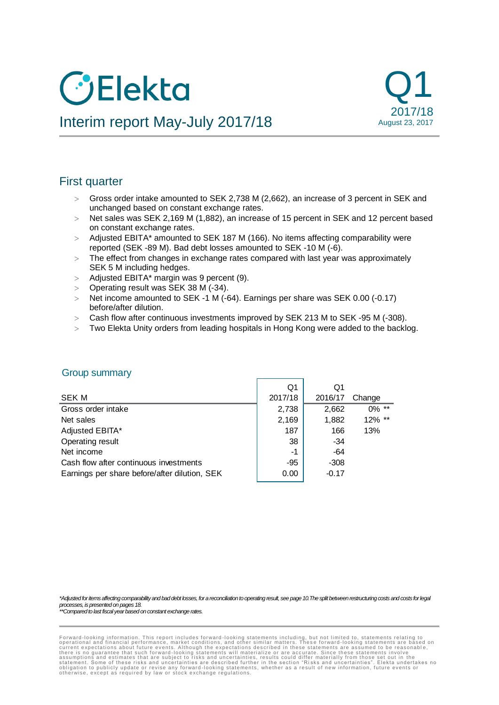# **O**Elekta



# Interim report May-July 2017/18

# First quarter

- Gross order intake amounted to SEK 2,738 M (2,662), an increase of 3 percent in SEK and unchanged based on constant exchange rates.
- $>$  Net sales was SEK 2,169 M (1,882), an increase of 15 percent in SEK and 12 percent based on constant exchange rates.
- > Adjusted EBITA\* amounted to SEK 187 M (166). No items affecting comparability were reported (SEK -89 M). Bad debt losses amounted to SEK -10 M (-6).
- The effect from changes in exchange rates compared with last year was approximately SEK 5 M including hedges.
- $>$  Adjusted EBITA\* margin was 9 percent (9).
- Operating result was SEK 38 M (-34).
- $>$  Net income amounted to SEK -1 M (-64). Earnings per share was SEK 0.00 (-0.17) before/after dilution.
- Cash flow after continuous investments improved by SEK 213 M to SEK -95 M (-308).
- Two Elekta Unity orders from leading hospitals in Hong Kong were added to the backlog.

|                                               | Q1      | Q1      |          |
|-----------------------------------------------|---------|---------|----------|
| SEK M                                         | 2017/18 | 2016/17 | Change   |
| Gross order intake                            | 2,738   | 2,662   | $0\%$ ** |
| Net sales                                     | 2,169   | 1,882   | 12% **   |
| Adjusted EBITA*                               | 187     | 166     | 13%      |
| Operating result                              | 38      | $-34$   |          |
| Net income                                    | -1      | $-64$   |          |
| Cash flow after continuous investments        | -95     | $-308$  |          |
| Earnings per share before/after dilution, SEK | 0.00    | $-0.17$ |          |
|                                               |         |         |          |

## Group summary

*\*Adjusted for items affecting comparability and bad debt losses, for a reconciliation to operating result, see page 10.The split between restructuring costs and costs for legal processes, is presented on pages 18.*

*\*\*Compared to last fiscal year based on constant exchange rates.*

Forward-looking information. This report includes forward-looking statements including, but not limited to, statements relating to<br>operational and financial performance, market conditions, and other similar matters. These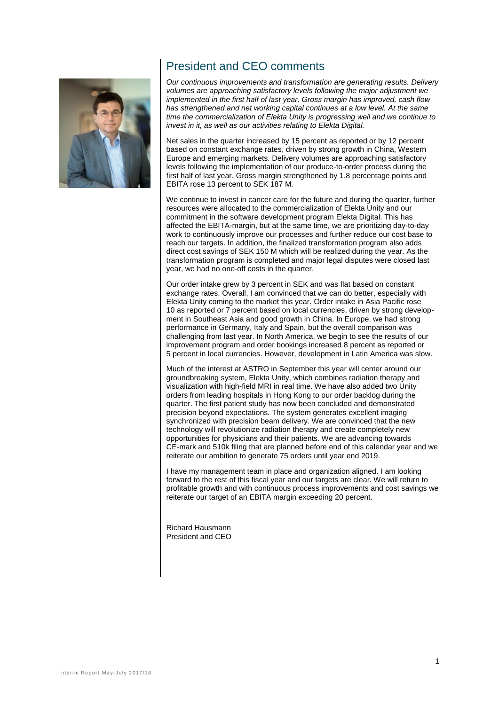

# President and CEO comments

*Our continuous improvements and transformation are generating results. Delivery volumes are approaching satisfactory levels following the major adjustment we implemented in the first half of last year. Gross margin has improved, cash flow has strengthened and net working capital continues at a low level. At the same time the commercialization of Elekta Unity is progressing well and we continue to invest in it, as well as our activities relating to Elekta Digital.*

Net sales in the quarter increased by 15 percent as reported or by 12 percent based on constant exchange rates, driven by strong growth in China, Western Europe and emerging markets. Delivery volumes are approaching satisfactory levels following the implementation of our produce-to-order process during the first half of last year. Gross margin strengthened by 1.8 percentage points and EBITA rose 13 percent to SEK 187 M.

We continue to invest in cancer care for the future and during the quarter, further resources were allocated to the commercialization of Elekta Unity and our commitment in the software development program Elekta Digital. This has affected the EBITA-margin, but at the same time, we are prioritizing day-to-day work to continuously improve our processes and further reduce our cost base to reach our targets. In addition, the finalized transformation program also adds direct cost savings of SEK 150 M which will be realized during the year. As the transformation program is completed and major legal disputes were closed last year, we had no one-off costs in the quarter.

Our order intake grew by 3 percent in SEK and was flat based on constant exchange rates. Overall, I am convinced that we can do better, especially with Elekta Unity coming to the market this year. Order intake in Asia Pacific rose 10 as reported or 7 percent based on local currencies, driven by strong development in Southeast Asia and good growth in China. In Europe, we had strong performance in Germany, Italy and Spain, but the overall comparison was challenging from last year. In North America, we begin to see the results of our improvement program and order bookings increased 8 percent as reported or 5 percent in local currencies. However, development in Latin America was slow.

Much of the interest at ASTRO in September this year will center around our groundbreaking system, Elekta Unity, which combines radiation therapy and visualization with high-field MRI in real time. We have also added two Unity orders from leading hospitals in Hong Kong to our order backlog during the quarter. The first patient study has now been concluded and demonstrated precision beyond expectations. The system generates excellent imaging synchronized with precision beam delivery. We are convinced that the new technology will revolutionize radiation therapy and create completely new opportunities for physicians and their patients. We are advancing towards CE-mark and 510k filing that are planned before end of this calendar year and we reiterate our ambition to generate 75 orders until year end 2019.

I have my management team in place and organization aligned. I am looking forward to the rest of this fiscal year and our targets are clear. We will return to profitable growth and with continuous process improvements and cost savings we reiterate our target of an EBITA margin exceeding 20 percent.

Richard Hausmann President and CEO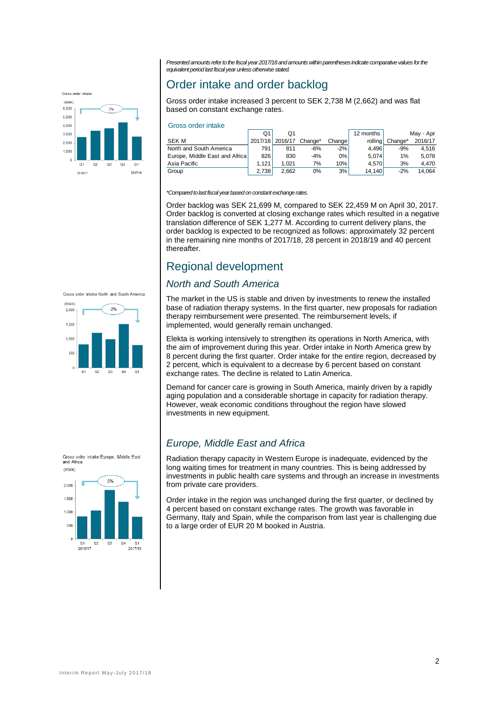*Presented amounts refer to the fiscal year 2017/18 and amounts within parentheses indicate comparative values for the equivalent period last fiscal year unless otherwise stated.*



## Order intake and order backlog

Gross order intake increased 3 percent to SEK 2,738 M (2,662) and was flat based on constant exchange rates.

#### Gross order intake

|                                | Q1      | Ο1      |         |         | 12 months |         | May - Apr |
|--------------------------------|---------|---------|---------|---------|-----------|---------|-----------|
| <b>SEK M</b>                   | 2017/18 | 2016/17 | Change* | Changel | rolling   | Change* | 2016/17   |
| North and South America        | 791     | 811     | $-6%$   | $-2%$   | 4.496     | $-9%$   | 4.516     |
| Europe, Middle East and Africa | 826     | 830     | $-4%$   | 0%      | 5.074     | 1%      | 5.078     |
| Asia Pacific                   | 1.121   | 1.021   | 7%      | 10%     | 4.570     | 3%      | 4.470     |
| Group                          | 2.738   | 2.662   | 0%      | 3%      | 14.140    | $-2%$   | 14.064    |

#### *\*Compared to last fiscal year based on constant exchange rates.*

Order backlog was SEK 21,699 M, compared to SEK 22,459 M on April 30, 2017. Order backlog is converted at closing exchange rates which resulted in a negative translation difference of SEK 1,277 M. According to current delivery plans, the order backlog is expected to be recognized as follows: approximately 32 percent in the remaining nine months of 2017/18, 28 percent in 2018/19 and 40 percent thereafter.

## Regional development

#### *North and South America*

The market in the US is stable and driven by investments to renew the installed base of radiation therapy systems. In the first quarter, new proposals for radiation therapy reimbursement were presented. The reimbursement levels, if implemented, would generally remain unchanged.

Elekta is working intensively to strengthen its operations in North America, with the aim of improvement during this year. Order intake in North America grew by 8 percent during the first quarter. Order intake for the entire region, decreased by 2 percent, which is equivalent to a decrease by 6 percent based on constant exchange rates. The decline is related to Latin America.

Demand for cancer care is growing in South America, mainly driven by a rapidly aging population and a considerable shortage in capacity for radiation therapy. However, weak economic conditions throughout the region have slowed investments in new equipment.

## *Europe, Middle East and Africa*

Radiation therapy capacity in Western Europe is inadequate, evidenced by the long waiting times for treatment in many countries. This is being addressed by investments in public health care systems and through an increase in investments from private care providers.

Order intake in the region was unchanged during the first quarter, or declined by 4 percent based on constant exchange rates. The growth was favorable in Germany, Italy and Spain, while the comparison from last year is challenging due to a large order of EUR 20 M booked in Austria.





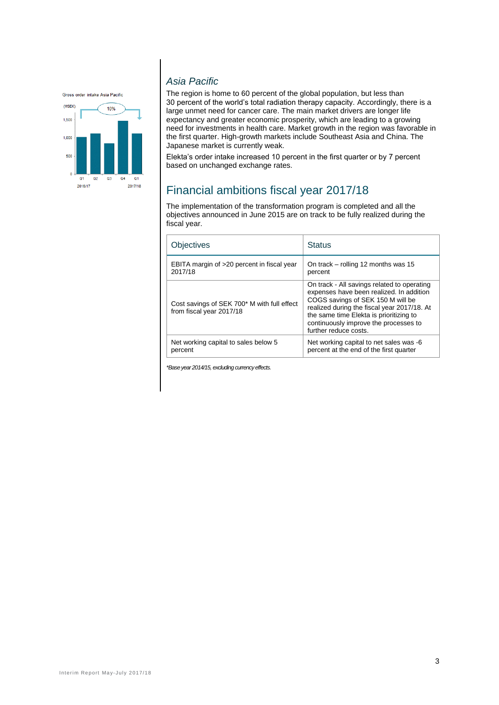Gross order intake Asia Pacific



## *Asia Pacific*

The region is home to 60 percent of the global population, but less than 30 percent of the world's total radiation therapy capacity. Accordingly, there is a large unmet need for cancer care. The main market drivers are longer life expectancy and greater economic prosperity, which are leading to a growing need for investments in health care. Market growth in the region was favorable in the first quarter. High-growth markets include Southeast Asia and China. The Japanese market is currently weak.

Elekta's order intake increased 10 percent in the first quarter or by 7 percent based on unchanged exchange rates.

# Financial ambitions fiscal year 2017/18

The implementation of the transformation program is completed and all the objectives announced in June 2015 are on track to be fully realized during the fiscal year.

| Obiectives                                                              | <b>Status</b>                                                                                                                                                                                                                                                                            |
|-------------------------------------------------------------------------|------------------------------------------------------------------------------------------------------------------------------------------------------------------------------------------------------------------------------------------------------------------------------------------|
| EBITA margin of >20 percent in fiscal year                              | On track – rolling 12 months was 15                                                                                                                                                                                                                                                      |
| 2017/18                                                                 | percent                                                                                                                                                                                                                                                                                  |
| Cost savings of SEK 700* M with full effect<br>from fiscal year 2017/18 | On track - All savings related to operating<br>expenses have been realized. In addition<br>COGS savings of SEK 150 M will be<br>realized during the fiscal year 2017/18. At<br>the same time Elekta is prioritizing to<br>continuously improve the processes to<br>further reduce costs. |
| Net working capital to sales below 5                                    | Net working capital to net sales was -6                                                                                                                                                                                                                                                  |
| percent                                                                 | percent at the end of the first quarter                                                                                                                                                                                                                                                  |

*\*Base year 2014/15, excluding currency effects.*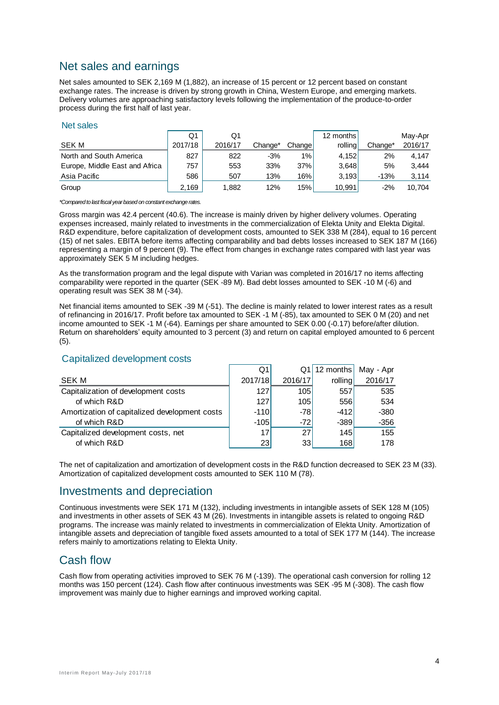# Net sales and earnings

Net sales amounted to SEK 2,169 M (1,882), an increase of 15 percent or 12 percent based on constant exchange rates. The increase is driven by strong growth in China, Western Europe, and emerging markets. Delivery volumes are approaching satisfactory levels following the implementation of the produce-to-order process during the first half of last year.

#### Net sales

|                                | Q1      | O1      |         |        | 12 months |         | May-Apr |
|--------------------------------|---------|---------|---------|--------|-----------|---------|---------|
| SEK M                          | 2017/18 | 2016/17 | Change* | Change | rolling   | Change* | 2016/17 |
| North and South America        | 827     | 822     | $-3%$   | 1%     | 4,152     | 2%      | 4.147   |
| Europe, Middle East and Africa | 757     | 553     | 33%     | 37%    | 3.648     | 5%      | 3.444   |
| Asia Pacific                   | 586     | 507     | 13%     | 16%    | 3.193     | $-13%$  | 3.114   |
| Group                          | 2,169   | 1,882   | 12%     | 15%    | 10.991    | $-2%$   | 10.704  |

*\*Compared to last fiscal year based on constant exchange rates.*

Gross margin was 42.4 percent (40.6). The increase is mainly driven by higher delivery volumes. Operating expenses increased, mainly related to investments in the commercialization of Elekta Unity and Elekta Digital. R&D expenditure, before capitalization of development costs, amounted to SEK 338 M (284), equal to 16 percent (15) of net sales. EBITA before items affecting comparability and bad debts losses increased to SEK 187 M (166) representing a margin of 9 percent (9). The effect from changes in exchange rates compared with last year was approximately SEK 5 M including hedges.

As the transformation program and the legal dispute with Varian was completed in 2016/17 no items affecting comparability were reported in the quarter (SEK -89 M). Bad debt losses amounted to SEK -10 M (-6) and operating result was SEK 38 M (-34).

Net financial items amounted to SEK -39 M (-51). The decline is mainly related to lower interest rates as a result of refinancing in 2016/17. Profit before tax amounted to SEK -1 M (-85), tax amounted to SEK 0 M (20) and net income amounted to SEK -1 M (-64). Earnings per share amounted to SEK 0.00 (-0.17) before/after dilution. Return on shareholders' equity amounted to 3 percent (3) and return on capital employed amounted to 6 percent (5).

|                                               | Q1      |         | $Q1$   12 months | May - Apr |
|-----------------------------------------------|---------|---------|------------------|-----------|
| <b>SEK M</b>                                  | 2017/18 | 2016/17 | rolling          | 2016/17   |
| Capitalization of development costs           | 127     | 105     | 557              | 535       |
| of which R&D                                  | 127     | 105     | 556              | 534       |
| Amortization of capitalized development costs | $-110$  | $-78$   | $-412$           | $-380$    |
| of which R&D                                  | $-105$  | $-72$   | $-389$           | $-356$    |
| Capitalized development costs, net            | 17      | 27      | 145              | 155       |
| of which R&D                                  | 23      | 33      | 168              | 178       |

#### Capitalized development costs

The net of capitalization and amortization of development costs in the R&D function decreased to SEK 23 M (33). Amortization of capitalized development costs amounted to SEK 110 M (78).

## Investments and depreciation

Continuous investments were SEK 171 M (132), including investments in intangible assets of SEK 128 M (105) and investments in other assets of SEK 43 M (26). Investments in intangible assets is related to ongoing R&D programs. The increase was mainly related to investments in commercialization of Elekta Unity. Amortization of intangible assets and depreciation of tangible fixed assets amounted to a total of SEK 177 M (144). The increase refers mainly to amortizations relating to Elekta Unity.

## Cash flow

Cash flow from operating activities improved to SEK 76 M (-139). The operational cash conversion for rolling 12 months was 150 percent (124). Cash flow after continuous investments was SEK -95 M (-308). The cash flow improvement was mainly due to higher earnings and improved working capital.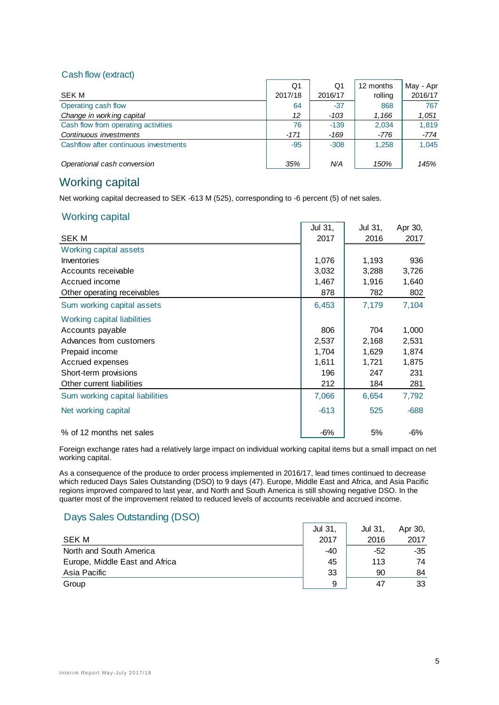#### Cash flow (extract)

|                                       | Q1      | Q1      | 12 months | May - Apr |
|---------------------------------------|---------|---------|-----------|-----------|
| SEK M                                 | 2017/18 | 2016/17 | rolling   | 2016/17   |
| Operating cash flow                   | 64      | $-37$   | 868       | 767       |
| Change in working capital             | 12      | $-103$  | 1,166     | 1,051     |
| Cash flow from operating activities   | 76      | $-139$  | 2,034     | 1.819     |
| Continuous investments                | $-171$  | -169    | -776      | $-774$    |
| Cashflow after continuous investments | $-95$   | $-308$  | 1.258     | 1.045     |
| Operational cash conversion           | 35%     | N/A     | 150%      | 145%      |

## Working capital

Net working capital decreased to SEK -613 M (525), corresponding to -6 percent (5) of net sales.

#### Working capital

|                                 | Jul 31, | Jul 31, | Apr 30, |
|---------------------------------|---------|---------|---------|
| <b>SEK M</b>                    | 2017    | 2016    | 2017    |
| Working capital assets          |         |         |         |
| Inventories                     | 1,076   | 1,193   | 936     |
| Accounts receivable             | 3,032   | 3,288   | 3,726   |
| Accrued income                  | 1,467   | 1,916   | 1,640   |
| Other operating receivables     | 878     | 782     | 802     |
| Sum working capital assets      | 6,453   | 7,179   | 7,104   |
| Working capital liabilities     |         |         |         |
| Accounts payable                | 806     | 704     | 1,000   |
| Advances from customers         | 2,537   | 2,168   | 2,531   |
| Prepaid income                  | 1,704   | 1,629   | 1,874   |
| Accrued expenses                | 1,611   | 1,721   | 1,875   |
| Short-term provisions           | 196     | 247     | 231     |
| Other current liabilities       | 212     | 184     | 281     |
| Sum working capital liabilities | 7,066   | 6,654   | 7,792   |
| Net working capital             | $-613$  | 525     | $-688$  |
| % of 12 months net sales        | $-6%$   | 5%      | -6%     |

Foreign exchange rates had a relatively large impact on individual working capital items but a small impact on net working capital.

As a consequence of the produce to order process implemented in 2016/17, lead times continued to decrease which reduced Days Sales Outstanding (DSO) to 9 days (47). Europe, Middle East and Africa, and Asia Pacific regions improved compared to last year, and North and South America is still showing negative DSO. In the quarter most of the improvement related to reduced levels of accounts receivable and accrued income.

## Days Sales Outstanding (DSO)

|                                | <b>Jul 31</b> | Jul 31, | Apr 30, |
|--------------------------------|---------------|---------|---------|
| <b>SEK M</b>                   | 2017          | 2016    | 2017    |
| North and South America        | $-40$         | -52     | -35     |
| Europe, Middle East and Africa | 45            | 113     | 74      |
| Asia Pacific                   | 33            | 90      | 84      |
| Group                          | 9             | 47      | 33      |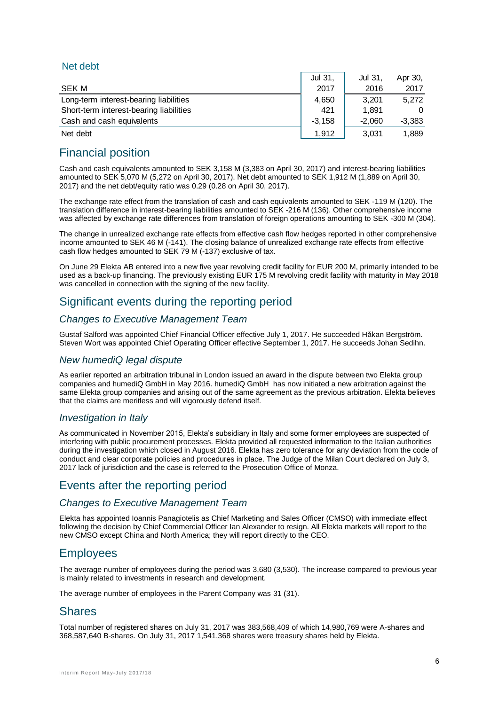## Net debt

|                                         | Jul 31.  | Jul 31.  | Apr 30,  |
|-----------------------------------------|----------|----------|----------|
| SEK M                                   | 2017     | 2016     | 2017     |
| Long-term interest-bearing liabilities  | 4.650    | 3.201    | 5.272    |
| Short-term interest-bearing liabilities | 421      | 1.891    | $\Omega$ |
| Cash and cash equivalents               | $-3.158$ | $-2.060$ | $-3,383$ |
| Net debt                                | 1.912    | 3.031    | 1.889    |

# Financial position

Cash and cash equivalents amounted to SEK 3,158 M (3,383 on April 30, 2017) and interest-bearing liabilities amounted to SEK 5,070 M (5,272 on April 30, 2017). Net debt amounted to SEK 1,912 M (1,889 on April 30, 2017) and the net debt/equity ratio was 0.29 (0.28 on April 30, 2017).

The exchange rate effect from the translation of cash and cash equivalents amounted to SEK -119 M (120). The translation difference in interest-bearing liabilities amounted to SEK -216 M (136). Other comprehensive income was affected by exchange rate differences from translation of foreign operations amounting to SEK -300 M (304).

The change in unrealized exchange rate effects from effective cash flow hedges reported in other comprehensive income amounted to SEK 46 M (-141). The closing balance of unrealized exchange rate effects from effective cash flow hedges amounted to SEK 79 M (-137) exclusive of tax.

On June 29 Elekta AB entered into a new five year revolving credit facility for EUR 200 M, primarily intended to be used as a back-up financing. The previously existing EUR 175 M revolving credit facility with maturity in May 2018 was cancelled in connection with the signing of the new facility.

## Significant events during the reporting period

## *Changes to Executive Management Team*

Gustaf Salford was appointed Chief Financial Officer effective July 1, 2017. He succeeded Håkan Bergström. Steven Wort was appointed Chief Operating Officer effective September 1, 2017. He succeeds Johan Sedihn.

## *New humediQ legal dispute*

As earlier reported an arbitration tribunal in London issued an award in the dispute between two Elekta group companies and humediQ GmbH in May 2016. humediQ GmbH has now initiated a new arbitration against the same Elekta group companies and arising out of the same agreement as the previous arbitration. Elekta believes that the claims are meritless and will vigorously defend itself.

## *Investigation in Italy*

As communicated in November 2015, Elekta's subsidiary in Italy and some former employees are suspected of interfering with public procurement processes. Elekta provided all requested information to the Italian authorities during the investigation which closed in August 2016. Elekta has zero tolerance for any deviation from the code of conduct and clear corporate policies and procedures in place. The Judge of the Milan Court declared on July 3, 2017 lack of jurisdiction and the case is referred to the Prosecution Office of Monza.

## Events after the reporting period

## *Changes to Executive Management Team*

Elekta has appointed Ioannis Panagiotelis as Chief Marketing and Sales Officer (CMSO) with immediate effect following the decision by Chief Commercial Officer Ian Alexander to resign. All Elekta markets will report to the new CMSO except China and North America; they will report directly to the CEO.

## **Employees**

The average number of employees during the period was 3,680 (3,530). The increase compared to previous year is mainly related to investments in research and development.

The average number of employees in the Parent Company was 31 (31).

## **Shares**

Total number of registered shares on July 31, 2017 was 383,568,409 of which 14,980,769 were A-shares and 368,587,640 B-shares. On July 31, 2017 1,541,368 shares were treasury shares held by Elekta.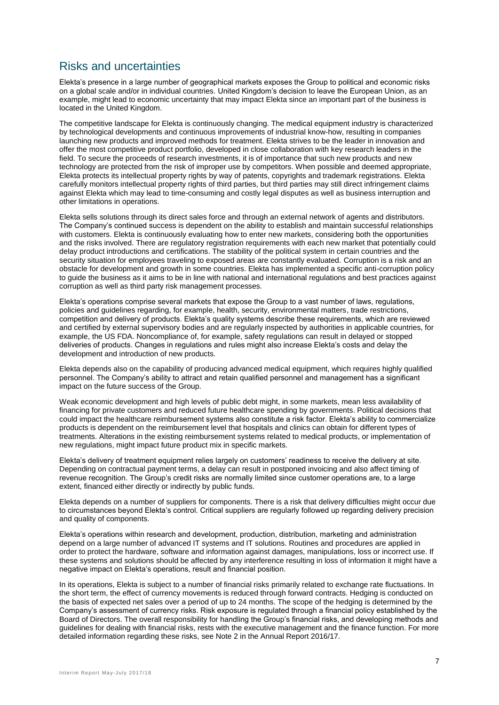## Risks and uncertainties

Elekta's presence in a large number of geographical markets exposes the Group to political and economic risks on a global scale and/or in individual countries. United Kingdom's decision to leave the European Union, as an example, might lead to economic uncertainty that may impact Elekta since an important part of the business is located in the United Kingdom.

The competitive landscape for Elekta is continuously changing. The medical equipment industry is characterized by technological developments and continuous improvements of industrial know-how, resulting in companies launching new products and improved methods for treatment. Elekta strives to be the leader in innovation and offer the most competitive product portfolio, developed in close collaboration with key research leaders in the field. To secure the proceeds of research investments, it is of importance that such new products and new technology are protected from the risk of improper use by competitors. When possible and deemed appropriate, Elekta protects its intellectual property rights by way of patents, copyrights and trademark registrations. Elekta carefully monitors intellectual property rights of third parties, but third parties may still direct infringement claims against Elekta which may lead to time-consuming and costly legal disputes as well as business interruption and other limitations in operations.

Elekta sells solutions through its direct sales force and through an external network of agents and distributors. The Company's continued success is dependent on the ability to establish and maintain successful relationships with customers. Elekta is continuously evaluating how to enter new markets, considering both the opportunities and the risks involved. There are regulatory registration requirements with each new market that potentially could delay product introductions and certifications. The stability of the political system in certain countries and the security situation for employees traveling to exposed areas are constantly evaluated. Corruption is a risk and an obstacle for development and growth in some countries. Elekta has implemented a specific anti-corruption policy to guide the business as it aims to be in line with national and international regulations and best practices against corruption as well as third party risk management processes.

Elekta's operations comprise several markets that expose the Group to a vast number of laws, regulations, policies and guidelines regarding, for example, health, security, environmental matters, trade restrictions, competition and delivery of products. Elekta's quality systems describe these requirements, which are reviewed and certified by external supervisory bodies and are regularly inspected by authorities in applicable countries, for example, the US FDA. Noncompliance of, for example, safety regulations can result in delayed or stopped deliveries of products. Changes in regulations and rules might also increase Elekta's costs and delay the development and introduction of new products.

Elekta depends also on the capability of producing advanced medical equipment, which requires highly qualified personnel. The Company's ability to attract and retain qualified personnel and management has a significant impact on the future success of the Group.

Weak economic development and high levels of public debt might, in some markets, mean less availability of financing for private customers and reduced future healthcare spending by governments. Political decisions that could impact the healthcare reimbursement systems also constitute a risk factor. Elekta's ability to commercialize products is dependent on the reimbursement level that hospitals and clinics can obtain for different types of treatments. Alterations in the existing reimbursement systems related to medical products, or implementation of new regulations, might impact future product mix in specific markets.

Elekta's delivery of treatment equipment relies largely on customers' readiness to receive the delivery at site. Depending on contractual payment terms, a delay can result in postponed invoicing and also affect timing of revenue recognition. The Group's credit risks are normally limited since customer operations are, to a large extent, financed either directly or indirectly by public funds.

Elekta depends on a number of suppliers for components. There is a risk that delivery difficulties might occur due to circumstances beyond Elekta's control. Critical suppliers are regularly followed up regarding delivery precision and quality of components.

Elekta's operations within research and development, production, distribution, marketing and administration depend on a large number of advanced IT systems and IT solutions. Routines and procedures are applied in order to protect the hardware, software and information against damages, manipulations, loss or incorrect use. If these systems and solutions should be affected by any interference resulting in loss of information it might have a negative impact on Elekta's operations, result and financial position.

In its operations, Elekta is subject to a number of financial risks primarily related to exchange rate fluctuations. In the short term, the effect of currency movements is reduced through forward contracts. Hedging is conducted on the basis of expected net sales over a period of up to 24 months. The scope of the hedging is determined by the Company's assessment of currency risks. Risk exposure is regulated through a financial policy established by the Board of Directors. The overall responsibility for handling the Group's financial risks, and developing methods and guidelines for dealing with financial risks, rests with the executive management and the finance function. For more detailed information regarding these risks, see Note 2 in the Annual Report 2016/17.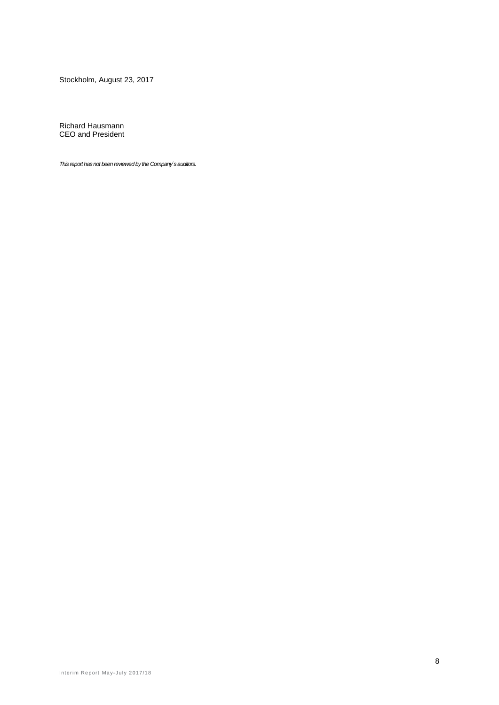Stockholm, August 23, 2017

Richard Hausmann CEO and President

*This report has not been reviewed by the Company´s auditors.*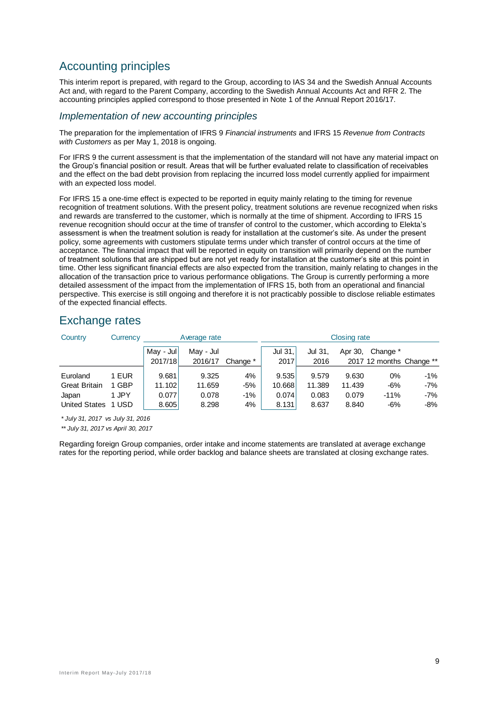# Accounting principles

This interim report is prepared, with regard to the Group, according to IAS 34 and the Swedish Annual Accounts Act and, with regard to the Parent Company, according to the Swedish Annual Accounts Act and RFR 2. The accounting principles applied correspond to those presented in Note 1 of the Annual Report 2016/17.

#### *Implementation of new accounting principles*

The preparation for the implementation of IFRS 9 *Financial instruments* and IFRS 15 *Revenue from Contracts with Customers* as per May 1, 2018 is ongoing.

For IFRS 9 the current assessment is that the implementation of the standard will not have any material impact on the Group's financial position or result. Areas that will be further evaluated relate to classification of receivables and the effect on the bad debt provision from replacing the incurred loss model currently applied for impairment with an expected loss model.

For IFRS 15 a one-time effect is expected to be reported in equity mainly relating to the timing for revenue recognition of treatment solutions. With the present policy, treatment solutions are revenue recognized when risks and rewards are transferred to the customer, which is normally at the time of shipment. According to IFRS 15 revenue recognition should occur at the time of transfer of control to the customer, which according to Elekta's assessment is when the treatment solution is ready for installation at the customer's site. As under the present policy, some agreements with customers stipulate terms under which transfer of control occurs at the time of acceptance. The financial impact that will be reported in equity on transition will primarily depend on the number of treatment solutions that are shipped but are not yet ready for installation at the customer's site at this point in time. Other less significant financial effects are also expected from the transition, mainly relating to changes in the allocation of the transaction price to various performance obligations. The Group is currently performing a more detailed assessment of the impact from the implementation of IFRS 15, both from an operational and financial perspective. This exercise is still ongoing and therefore it is not practicably possible to disclose reliable estimates of the expected financial effects.

## Exchange rates

| Country                                                           | Currency                         | Average rate                      |                                   |                            |                                   |                                   | <b>Closing rate</b>               |                                      |                            |
|-------------------------------------------------------------------|----------------------------------|-----------------------------------|-----------------------------------|----------------------------|-----------------------------------|-----------------------------------|-----------------------------------|--------------------------------------|----------------------------|
|                                                                   |                                  | May - Jul<br>2017/18              | May - Jul<br>2016/17              | Change *                   | Jul 31,<br>2017                   | Jul 31,<br>2016                   | Apr 30,                           | Change *<br>2017 12 months Change ** |                            |
| Euroland<br><b>Great Britain</b><br>Japan<br><b>United States</b> | 1 EUR<br>1 GBP<br>1 JPY<br>1 USD | 9.681<br>11.102<br>0.077<br>8.605 | 9.325<br>11.659<br>0.078<br>8.298 | 4%<br>$-5%$<br>$-1%$<br>4% | 9.535<br>10.668<br>0.074<br>8.131 | 9.579<br>11.389<br>0.083<br>8.637 | 9.630<br>11.439<br>0.079<br>8.840 | 0%<br>$-6%$<br>$-11%$<br>$-6%$       | -1%<br>$-7%$<br>-7%<br>-8% |

*\* July 31, 2017 vs July 31, 2016*

*\*\* July 31, 2017 vs April 30, 2017*

Regarding foreign Group companies, order intake and income statements are translated at average exchange rates for the reporting period, while order backlog and balance sheets are translated at closing exchange rates.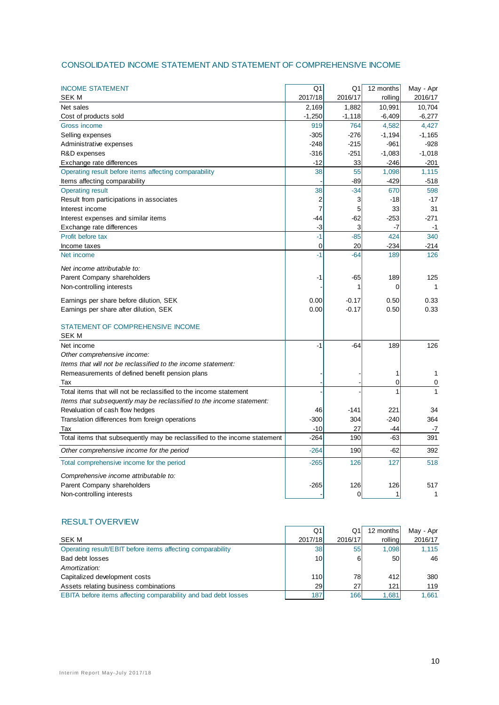#### CONSOLIDATED INCOME STATEMENT AND STATEMENT OF COMPREHENSIVE INCOME

| <b>INCOME STATEMENT</b>                                                   | Q <sub>1</sub> | Q1       | 12 months | May - Apr |
|---------------------------------------------------------------------------|----------------|----------|-----------|-----------|
| <b>SEK M</b>                                                              | 2017/18        | 2016/17  | rolling   | 2016/17   |
| Net sales                                                                 | 2,169          | 1,882    | 10,991    | 10,704    |
| Cost of products sold                                                     | $-1,250$       | $-1,118$ | $-6,409$  | $-6,277$  |
| Gross income                                                              | 919            | 764      | 4,582     | 4,427     |
| Selling expenses                                                          | -305           | $-276$   | $-1,194$  | $-1,165$  |
| Administrative expenses                                                   | $-248$         | $-215$   | $-961$    | $-928$    |
| R&D expenses                                                              | -316           | $-251$   | $-1,083$  | $-1,018$  |
| Exchange rate differences                                                 | $-12$          | 33       | $-246$    | $-201$    |
| Operating result before items affecting comparability                     | 38             | 55       | 1,098     | 1,115     |
| Items affecting comparability                                             |                | -89      | $-429$    | -518      |
| <b>Operating result</b>                                                   | 38             | $-34$    | 670       | 598       |
| Result from participations in associates                                  | 2              | 3        | -18       | $-17$     |
| Interest income                                                           | 7              | 5        | 33        | 31        |
| Interest expenses and similar items                                       | $-44$          | -62      | $-253$    | $-271$    |
| Exchange rate differences                                                 | -3             | 3        | $-7$      | $-1$      |
| Profit before tax                                                         | $-1$           | $-85$    | 424       | 340       |
| Income taxes                                                              | 0              | 20       | $-234$    | $-214$    |
| Net income                                                                | $-1$           | $-64$    | 189       | 126       |
| Net income attributable to:                                               |                |          |           |           |
| Parent Company shareholders                                               | -1             | -65      | 189       | 125       |
| Non-controlling interests                                                 |                | 1        | 0         | 1         |
| Earnings per share before dilution, SEK                                   | 0.00           | $-0.17$  | 0.50      | 0.33      |
| Earnings per share after dilution, SEK                                    | 0.00           | $-0.17$  | 0.50      | 0.33      |
|                                                                           |                |          |           |           |
| STATEMENT OF COMPREHENSIVE INCOME                                         |                |          |           |           |
| <b>SEKM</b>                                                               |                |          |           |           |
| Net income                                                                | $-1$           | $-64$    | 189       | 126       |
| Other comprehensive income:                                               |                |          |           |           |
| Items that will not be reclassified to the income statement:              |                |          |           |           |
| Remeasurements of defined benefit pension plans                           |                |          | 1         | 1         |
| Tax                                                                       |                |          | 0         | 0         |
| Total items that will not be reclassified to the income statement         |                |          | 1         | 1         |
| Items that subsequently may be reclassified to the income statement:      |                |          |           |           |
| Revaluation of cash flow hedges                                           | 46             | $-141$   | 221       | 34        |
| Translation differences from foreign operations                           | $-300$         | 304      | $-240$    | 364       |
| Tax                                                                       | $-10$          | 27       | -44       | -7        |
| Total items that subsequently may be reclassified to the income statement | $-264$         | 190      | $-63$     | 391       |
| Other comprehensive income for the period                                 | $-264$         | 190      | $-62$     | 392       |
| Total comprehensive income for the period                                 | $-265$         | 126      | 127       | 518       |
| Comprehensive income attributable to:                                     |                |          |           |           |
| Parent Company shareholders                                               | -265           | 126      | 126       | 517       |
| Non-controlling interests                                                 |                | 0        | 1         | 1         |
|                                                                           |                |          |           |           |

#### RESULT OVERVIEW

|                                                                | Q1               | Q1      | 12 months | May - Apr |
|----------------------------------------------------------------|------------------|---------|-----------|-----------|
| SEK M                                                          | 2017/18          | 2016/17 | rolling   | 2016/17   |
| Operating result/EBIT before items affecting comparability     | 38 <sup>l</sup>  | 55      | 1.098     | 1.115     |
| Bad debt losses                                                | 10 <sup>1</sup>  | 6       | <b>50</b> | 46        |
| Amortization:                                                  |                  |         |           |           |
| Capitalized development costs                                  | 110 <sup>1</sup> | 78      | 412       | 380       |
| Assets relating business combinations                          | <b>29</b>        | 27      | 121       | 119       |
| EBITA before items affecting comparability and bad debt losses | 187              | 166     | 1,681     | 1.661     |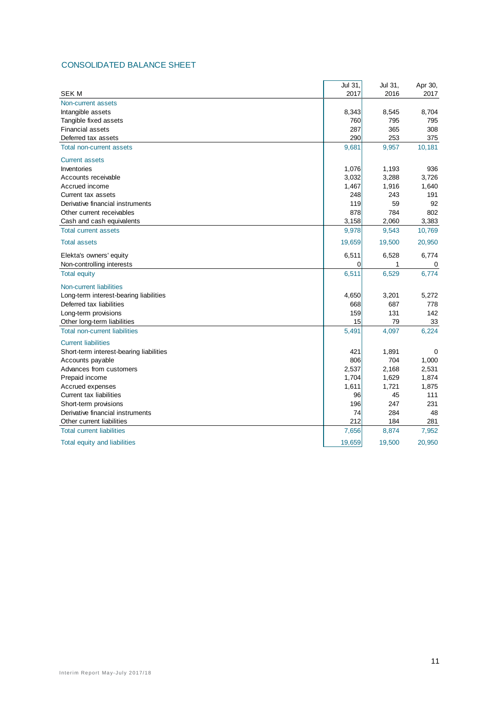#### CONSOLIDATED BALANCE SHEET

|                                         | Jul 31, | Jul 31, | Apr 30, |
|-----------------------------------------|---------|---------|---------|
| <b>SEK M</b>                            | 2017    | 2016    | 2017    |
| Non-current assets                      |         |         |         |
| Intangible assets                       | 8,343   | 8,545   | 8,704   |
| Tangible fixed assets                   | 760     | 795     | 795     |
| <b>Financial assets</b>                 | 287     | 365     | 308     |
| Deferred tax assets                     | 290     | 253     | 375     |
| <b>Total non-current assets</b>         | 9,681   | 9,957   | 10,181  |
| <b>Current assets</b>                   |         |         |         |
| Inventories                             | 1,076   | 1,193   | 936     |
| Accounts receivable                     | 3,032   | 3,288   | 3,726   |
| Accrued income                          | 1,467   | 1,916   | 1,640   |
| Current tax assets                      | 248     | 243     | 191     |
| Derivative financial instruments        | 119     | 59      | 92      |
| Other current receivables               | 878     | 784     | 802     |
| Cash and cash equivalents               | 3,158   | 2,060   | 3,383   |
| <b>Total current assets</b>             | 9,978   | 9,543   | 10,769  |
| <b>Total assets</b>                     | 19,659  | 19,500  | 20,950  |
| Elekta's owners' equity                 | 6,511   | 6,528   | 6,774   |
| Non-controlling interests               | 0       | 1       | 0       |
| <b>Total equity</b>                     | 6,511   | 6,529   | 6,774   |
| Non-current liabilities                 |         |         |         |
| Long-term interest-bearing liabilities  | 4,650   | 3,201   | 5,272   |
| Deferred tax liabilities                | 668     | 687     | 778     |
| Long-term provisions                    | 159     | 131     | 142     |
| Other long-term liabilities             | 15      | 79      | 33      |
| <b>Total non-current liabilities</b>    | 5,491   | 4,097   | 6,224   |
| <b>Current liabilities</b>              |         |         |         |
| Short-term interest-bearing liabilities | 421     | 1,891   | 0       |
| Accounts payable                        | 806     | 704     | 1,000   |
| Advances from customers                 | 2,537   | 2,168   | 2,531   |
| Prepaid income                          | 1,704   | 1,629   | 1,874   |
| Accrued expenses                        | 1,611   | 1,721   | 1,875   |
| Current tax liabilities                 | 96      | 45      | 111     |
| Short-term provisions                   | 196     | 247     | 231     |
| Derivative financial instruments        | 74      | 284     | 48      |
| Other current liabilities               | 212     | 184     | 281     |
| <b>Total current liabilities</b>        | 7,656   | 8,874   | 7,952   |
| Total equity and liabilities            | 19,659  | 19,500  | 20,950  |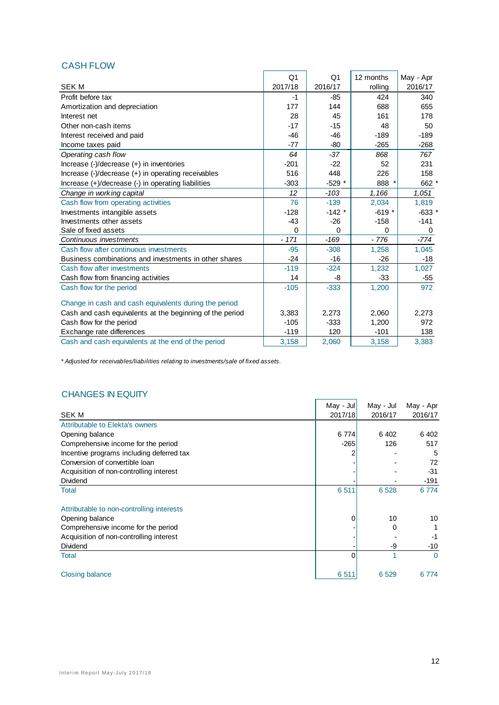|                                                          | Q <sub>1</sub> | O <sub>1</sub> | 12 months | May - Apr |
|----------------------------------------------------------|----------------|----------------|-----------|-----------|
| <b>SEK M</b>                                             | 2017/18        | 2016/17        | rolling   | 2016/17   |
| Profit before tax                                        | $-1$           | -85            | 424       | 340       |
| Amortization and depreciation                            | 177            | 144            | 688       | 655       |
| Interest net                                             | 28             | 45             | 161       | 178       |
| Other non-cash items                                     | $-17$          | $-15$          | 48        | 50        |
| Interest received and paid                               | $-46$          | $-46$          | $-189$    | $-189$    |
| Income taxes paid                                        | $-77$          | $-80$          | $-265$    | $-268$    |
| Operating cash flow                                      | 64             | $-37$          | 868       | 767       |
| Increase (-)/decrease (+) in inventories                 | $-201$         | $-22$          | 52        | 231       |
| Increase (-)/decrease (+) in operating receivables       | 516            | 448            | 226       | 158       |
| Increase (+)/decrease (-) in operating liabilities       | $-303$         | $-529$ *       | 888       | 662 *     |
| Change in working capital                                | 12             | $-103$         | 1.166     | 1,051     |
| Cash flow from operating activities                      | 76             | $-139$         | 2,034     | 1,819     |
| Investments intangible assets                            | $-128$         | $-142$ *       | $-619*$   | $-633*$   |
| Investments other assets                                 | $-43$          | $-26$          | $-158$    | $-141$    |
| Sale of fixed assets                                     | $\Omega$       | $\Omega$       | 0         | 0         |
| Continuous investments                                   | $-171$         | $-169$         | $-776$    | $-774$    |
| Cash flow after continuous investments                   | $-95$          | $-308$         | 1,258     | 1,045     |
| Business combinations and investments in other shares    | $-24$          | $-16$          | $-26$     | $-18$     |
| Cash flow after investments                              | $-119$         | $-324$         | 1,232     | 1,027     |
| Cash flow from financing activities                      | 14             | -8             | $-33$     | -55       |
| Cash flow for the period                                 | $-105$         | $-333$         | 1,200     | 972       |
| Change in cash and cash equivalents during the period    |                |                |           |           |
| Cash and cash equivalents at the beginning of the period | 3,383          | 2,273          | 2,060     | 2,273     |
| Cash flow for the period                                 | $-105$         | $-333$         | 1,200     | 972       |
| Exchange rate differences                                | $-119$         | 120            | $-101$    | 138       |
| Cash and cash equivalents at the end of the period       | 3,158          | 2,060          | 3,158     | 3,383     |

CASH FLOW

*\* Adjusted for receivables/liabilities relating to investments/sale of fixed assets.*

## CHANGES IN EQUITY

|                                           | May - Jul | May - Jul | May - Apr |
|-------------------------------------------|-----------|-----------|-----------|
| <b>SEK M</b>                              | 2017/18   | 2016/17   | 2016/17   |
| Attributable to Elekta's owners           |           |           |           |
| Opening balance                           | 6 7 7 4   | 6 4 0 2   | 6 402     |
| Comprehensive income for the period       | $-265$    | 126       | 517       |
| Incentive programs including deferred tax |           |           | 5         |
| Conversion of convertible loan            |           |           | 72        |
| Acquisition of non-controlling interest   |           |           | $-31$     |
| Dividend                                  |           |           | $-191$    |
| Total                                     | 6511      | 6 5 28    | 6774      |
| Attributable to non-controlling interests |           |           |           |
| Opening balance                           |           | 10        | 10        |
| Comprehensive income for the period       |           | 0         | 1         |
| Acquisition of non-controlling interest   |           |           | -1        |
| Dividend                                  |           | -9        | $-10$     |
| Total                                     | 0         |           | $\Omega$  |
| Closing balance                           | 6511      | 6 5 29    | 6 7 7 4   |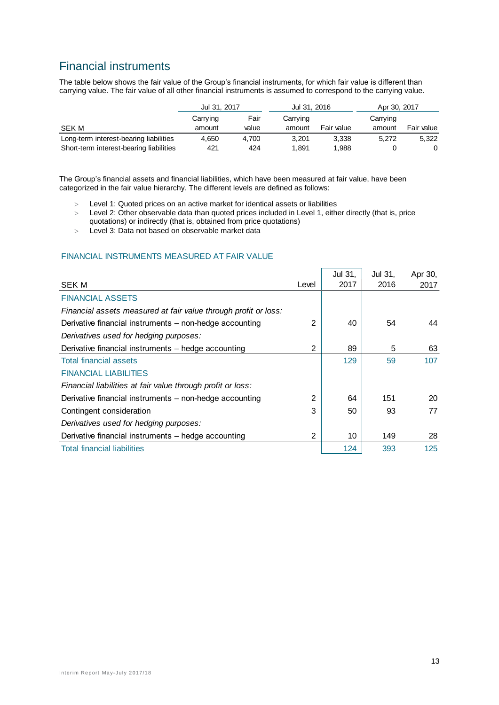# Financial instruments

The table below shows the fair value of the Group's financial instruments, for which fair value is different than carrying value. The fair value of all other financial instruments is assumed to correspond to the carrying value.

|                                         | Jul 31, 2017 |       | Jul 31, 2016 |            | Apr 30, 2017 |            |  |
|-----------------------------------------|--------------|-------|--------------|------------|--------------|------------|--|
|                                         | Carrying     | Fair  | Carrying     |            | Carrying     |            |  |
| SEK M                                   | amount       | value | amount       | Fair value | amount       | Fair value |  |
| Long-term interest-bearing liabilities  | 4.650        | 4.700 | 3.201        | 3.338      | 5.272        | 5.322      |  |
| Short-term interest-bearing liabilities | 421          | 424   | 1.891        | 1.988      |              |            |  |

The Group's financial assets and financial liabilities, which have been measured at fair value, have been categorized in the fair value hierarchy. The different levels are defined as follows:

- Level 1: Quoted prices on an active market for identical assets or liabilities
- Level 2: Other observable data than quoted prices included in Level 1, either directly (that is, price quotations) or indirectly (that is, obtained from price quotations)
- Level 3: Data not based on observable market data

#### FINANCIAL INSTRUMENTS MEASURED AT FAIR VALUE

|                                                                 |       | Jul 31, | Jul 31, | Apr 30, |
|-----------------------------------------------------------------|-------|---------|---------|---------|
| <b>SEK M</b>                                                    | Level | 2017    | 2016    | 2017    |
| <b>FINANCIAL ASSETS</b>                                         |       |         |         |         |
| Financial assets measured at fair value through profit or loss: |       |         |         |         |
| Derivative financial instruments - non-hedge accounting         | 2     | 40      | 54      | 44      |
| Derivatives used for hedging purposes:                          |       |         |         |         |
| Derivative financial instruments - hedge accounting             | 2     | 89      | 5       | 63      |
| <b>Total financial assets</b>                                   |       | 129     | 59      | 107     |
| <b>FINANCIAL LIABILITIES</b>                                    |       |         |         |         |
| Financial liabilities at fair value through profit or loss:     |       |         |         |         |
| Derivative financial instruments - non-hedge accounting         | 2     | 64      | 151     | 20      |
| Contingent consideration                                        | 3     | 50      | 93      | 77      |
| Derivatives used for hedging purposes:                          |       |         |         |         |
| Derivative financial instruments - hedge accounting             | 2     | 10      | 149     | 28      |
| <b>Total financial liabilities</b>                              |       | 124     | 393     | 125     |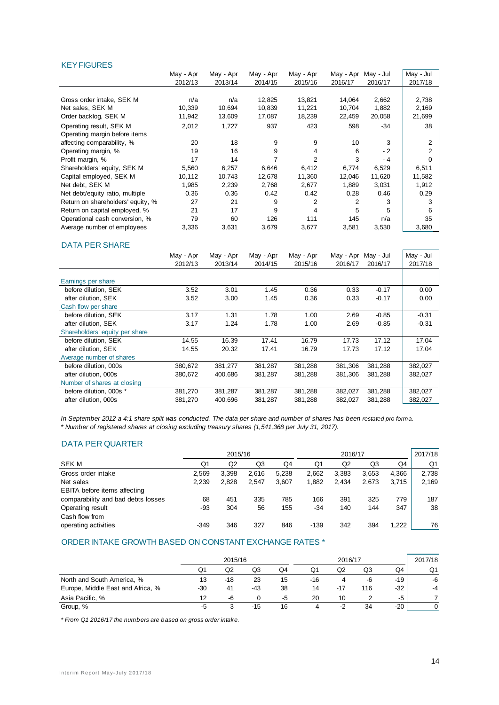#### **KEY FIGURES**

|                                   | May - Apr | May - Apr | May - Apr | May - Apr      | May - Apr | May - Jul | May - Jul |
|-----------------------------------|-----------|-----------|-----------|----------------|-----------|-----------|-----------|
|                                   | 2012/13   | 2013/14   | 2014/15   | 2015/16        | 2016/17   | 2016/17   | 2017/18   |
|                                   |           |           |           |                |           |           |           |
| Gross order intake, SEK M         | n/a       | n/a       | 12,825    | 13,821         | 14,064    | 2,662     | 2,738     |
| Net sales, SEK M                  | 10,339    | 10,694    | 10,839    | 11,221         | 10,704    | 1,882     | 2,169     |
| Order backlog, SEK M              | 11,942    | 13,609    | 17,087    | 18,239         | 22,459    | 20,058    | 21,699    |
| Operating result, SEK M           | 2,012     | 1,727     | 937       | 423            | 598       | $-34$     | 38        |
| Operating margin before items     |           |           |           |                |           |           |           |
| affecting comparability, %        | 20        | 18        | 9         | 9              | 10        | 3         | 2         |
| Operating margin, %               | 19        | 16        | 9         | 4              | 6         | $-2$      | 2         |
| Profit margin, %                  | 17        | 14        |           | $\overline{2}$ | 3         | - 4       | 0         |
| Shareholders' equity, SEK M       | 5,560     | 6,257     | 6,646     | 6,412          | 6,774     | 6,529     | 6,511     |
| Capital employed, SEK M           | 10,112    | 10,743    | 12,678    | 11,360         | 12,046    | 11,620    | 11,582    |
| Net debt, SEK M                   | 1,985     | 2,239     | 2,768     | 2,677          | 1,889     | 3,031     | 1,912     |
| Net debt/equity ratio, multiple   | 0.36      | 0.36      | 0.42      | 0.42           | 0.28      | 0.46      | 0.29      |
| Return on shareholders' equity, % | 27        | 21        | 9         | 2              | 2         | 3         | 3         |
| Return on capital employed, %     | 21        | 17        | 9         | 4              | 5         | 5         | 6         |
| Operational cash conversion, %    | 79        | 60        | 126       | 111            | 145       | n/a       | 35        |
| Average number of employees       | 3,336     | 3,631     | 3,679     | 3,677          | 3,581     | 3,530     | 3,680     |

#### DATA PER SHARE

|                                | May - Apr | May - Apr | May - Apr | May - Apr | May - Apr | May - Jul | May - Jul |
|--------------------------------|-----------|-----------|-----------|-----------|-----------|-----------|-----------|
|                                | 2012/13   | 2013/14   | 2014/15   | 2015/16   | 2016/17   | 2016/17   | 2017/18   |
|                                |           |           |           |           |           |           |           |
| Earnings per share             |           |           |           |           |           |           |           |
| before dilution. SEK           | 3.52      | 3.01      | 1.45      | 0.36      | 0.33      | $-0.17$   | 0.00      |
| after dilution, SEK            | 3.52      | 3.00      | 1.45      | 0.36      | 0.33      | $-0.17$   | 0.00      |
| Cash flow per share            |           |           |           |           |           |           |           |
| before dilution, SEK           | 3.17      | 1.31      | 1.78      | 1.00      | 2.69      | $-0.85$   | $-0.31$   |
| after dilution, SEK            | 3.17      | 1.24      | 1.78      | 1.00      | 2.69      | $-0.85$   | $-0.31$   |
| Shareholders' equity per share |           |           |           |           |           |           |           |
| before dilution, SEK           | 14.55     | 16.39     | 17.41     | 16.79     | 17.73     | 17.12     | 17.04     |
| after dilution, SEK            | 14.55     | 20.32     | 17.41     | 16.79     | 17.73     | 17.12     | 17.04     |
| Average number of shares       |           |           |           |           |           |           |           |
| before dilution, 000s          | 380,672   | 381,277   | 381,287   | 381,288   | 381.306   | 381,288   | 382,027   |
| after dilution, 000s           | 380,672   | 400.686   | 381,287   | 381,288   | 381,306   | 381,288   | 382,027   |
| Number of shares at closing    |           |           |           |           |           |           |           |
| before dilution, 000s *        | 381,270   | 381,287   | 381,287   | 381,288   | 382,027   | 381,288   | 382,027   |
| after dilution, 000s           | 381,270   | 400.696   | 381,287   | 381,288   | 382,027   | 381,288   | 382,027   |

*In September 2012 a 4:1 share split was conducted. The data per share and number of shares has been restated pro forma. \* Number of registered shares at closing excluding treasury shares (1,541,368 per July 31, 2017).*

#### DATA PER QUARTER

|                                     |                | 2015/16 |       |       | 2016/17 |                |       |       | 2017/18 |
|-------------------------------------|----------------|---------|-------|-------|---------|----------------|-------|-------|---------|
| <b>SEK M</b>                        | Q <sub>1</sub> | Q2      | Q3    | Q4    | Q1      | Q <sub>2</sub> | Q3    | Q4    | Q1      |
| Gross order intake                  | 2.569          | 3,398   | 2.616 | 5.238 | 2,662   | 3,383          | 3,653 | 4.366 | 2.738   |
| Net sales                           | 2,239          | 2,828   | 2,547 | 3.607 | 1,882   | 2,434          | 2,673 | 3.715 | 2,169   |
| <b>EBITA</b> before items affecting |                |         |       |       |         |                |       |       |         |
| comparability and bad debts losses  | 68             | 451     | 335   | 785   | 166     | 391            | 325   | 779   | 187     |
| Operating result                    | $-93$          | 304     | 56    | 155   | -34     | 140            | 144   | 347   | 38      |
| Cash flow from                      |                |         |       |       |         |                |       |       |         |
| operating activities                | $-349$         | 346     | 327   | 846   | $-139$  | 342            | 394   | 1,222 | 76      |

#### ORDER INTAKE GROWTH BASED ON CONSTANT EXCHANGE RATES \*

|                                   |     | 2015/16 |     |    | 2016/17 |     |     |     | 2017/18 |
|-----------------------------------|-----|---------|-----|----|---------|-----|-----|-----|---------|
|                                   | Q1  | Q2      | Q3  | Q4 | Q1      | Q2  | Q3  | Q4  | Q1      |
| North and South America, %        | 13  | -18     | 23  | 15 | $-16$   | 4   | -6  | -19 | -61     |
| Europe, Middle East and Africa, % | -30 | 41      | -43 | 38 | 14      | -17 | 116 | -32 | $-4$    |
| Asia Pacific, %                   | 12  | -6      |     | -5 | 20      | 10  |     | -5  |         |
| Group, %                          | -5  |         | -15 | 16 |         |     | 34  | -20 | 01      |

*\* From Q1 2016/17 the numbers are based on gross order intake.*

 $\overline{\phantom{a}}$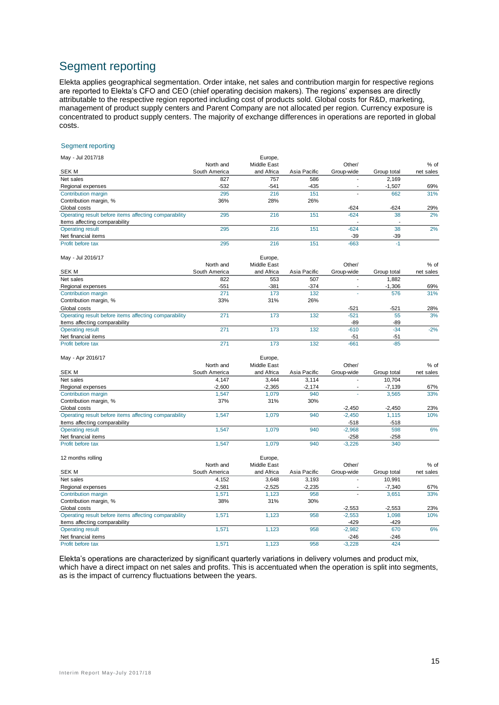# Segment reporting

Elekta applies geographical segmentation. Order intake, net sales and contribution margin for respective regions are reported to Elekta's CFO and CEO (chief operating decision makers). The regions' expenses are directly attributable to the respective region reported including cost of products sold. Global costs for R&D, marketing, management of product supply centers and Parent Company are not allocated per region. Currency exposure is concentrated to product supply centers. The majority of exchange differences in operations are reported in global costs.

#### Segment reporting

| May - Jul 2017/18                                     |               | Europe,     |              |            |             |           |
|-------------------------------------------------------|---------------|-------------|--------------|------------|-------------|-----------|
|                                                       | North and     | Middle East |              | Other/     |             | $%$ of    |
| <b>SEK M</b>                                          | South America | and Africa  | Asia Pacific | Group-wide | Group total | net sales |
| Net sales                                             | 827           | 757         | 586          |            | 2.169       |           |
| Regional expenses                                     | $-532$        | $-541$      | $-435$       |            | $-1,507$    | 69%       |
| Contribution margin                                   | 295           | 216         | 151          |            | 662         | 31%       |
| Contribution margin, %                                | 36%           | 28%         | 26%          |            |             |           |
| Global costs                                          |               |             |              | $-624$     | $-624$      | 29%       |
| Operating result before items affecting comparability | 295           | 216         | 151          | $-624$     | 38          | 2%        |
| Items affecting comparability                         |               |             |              |            |             |           |
| <b>Operating result</b>                               | 295           | 216         | 151          | $-624$     | 38          | 2%        |
| Net financial items                                   |               |             |              | $-39$      | $-39$       |           |
| Profit before tax                                     | 295           | 216         | 151          | $-663$     | $-1$        |           |

May - Jul 2016/17 Europe, The Contract of the Contract of the Contract of the Contract of The Contract of The Contract of The Contract of The Contract of The Contract of The Contract of The Contract of The Contract of The

| $N = 301 20 101 11$                                   |               | Luiupe,     |              |            |             |           |
|-------------------------------------------------------|---------------|-------------|--------------|------------|-------------|-----------|
|                                                       | North and     | Middle East |              | Other/     |             | % of      |
| SEK M                                                 | South America | and Africa  | Asia Pacific | Group-wide | Group total | net sales |
| Net sales                                             | 822           | 553         | 507          |            | 1.882       |           |
| Regional expenses                                     | $-551$        | $-381$      | $-374$       |            | $-1,306$    | 69%       |
| Contribution margin                                   | 271           | 173         | 132          |            | 576         | 31%       |
| Contribution margin, %                                | 33%           | 31%         | 26%          |            |             |           |
| Global costs                                          |               |             |              | $-521$     | $-521$      | 28%       |
| Operating result before items affecting comparability | 271           | 173         | 132          | $-521$     | 55          | 3%        |
| Items affecting comparability                         |               |             |              | -89        | -89         |           |
| <b>Operating result</b>                               | 271           | 173         | 132          | $-610$     | $-34$       | $-2%$     |
| Net financial items                                   |               |             |              | $-51$      | $-51$       |           |
| Profit before tax                                     | 271           | 173         | 132          | $-661$     | $-85$       |           |

| May - Apr 2016/17                                     |               | Europe,     |              |            |             |           |  |
|-------------------------------------------------------|---------------|-------------|--------------|------------|-------------|-----------|--|
|                                                       | North and     | Middle East |              |            | $%$ of      |           |  |
| SEK M                                                 | South America | and Africa  | Asia Pacific | Group-wide | Group total | net sales |  |
| Net sales                                             | 4.147         | 3.444       | 3.114        |            | 10.704      |           |  |
| Regional expenses                                     | $-2.600$      | $-2.365$    | $-2.174$     |            | $-7.139$    | 67%       |  |
| Contribution margin                                   | 1.547         | 1.079       | 940          |            | 3,565       | 33%       |  |
| Contribution margin, %                                | 37%           | 31%         | 30%          |            |             |           |  |
| Global costs                                          |               |             |              | $-2,450$   | $-2.450$    | 23%       |  |
| Operating result before items affecting comparability | 1.547         | 1.079       | 940          | $-2.450$   | 1.115       | 10%       |  |
| Items affecting comparability                         |               |             |              | -518       | $-518$      |           |  |
| <b>Operating result</b>                               | 1.547         | 1.079       | 940          | $-2.968$   | 598         | 6%        |  |
| Net financial items                                   |               |             |              | -258       | $-258$      |           |  |
| Profit before tax                                     | 1.547         | 1.079       | 940          | $-3.226$   | 340         |           |  |

| 12 months rolling                                     |               | Europe,     |              |            |             |           |
|-------------------------------------------------------|---------------|-------------|--------------|------------|-------------|-----------|
|                                                       | North and     | Middle East |              | Other/     |             | $%$ of    |
| SEK M                                                 | South America | and Africa  | Asia Pacific | Group-wide | Group total | net sales |
| Net sales                                             | 4.152         | 3.648       | 3.193        |            | 10.991      |           |
| Regional expenses                                     | $-2.581$      | $-2.525$    | $-2.235$     |            | $-7.340$    | 67%       |
| Contribution margin                                   | 1.571         | 1.123       | 958          |            | 3.651       | 33%       |
| Contribution margin, %                                | 38%           | 31%         | 30%          |            |             |           |
| Global costs                                          |               |             |              | $-2.553$   | $-2.553$    | 23%       |
| Operating result before items affecting comparability | 1.571         | 1.123       | 958          | $-2.553$   | 1.098       | 10%       |
| Items affecting comparability                         |               |             |              | -429       | -429        |           |
| <b>Operating result</b>                               | 1.571         | 1.123       | 958          | $-2,982$   | 670         | 6%        |
| Net financial items                                   |               |             |              | $-246$     | $-246$      |           |
| Profit before tax                                     | .571          | 1.123       | 958          | $-3.228$   | 424         |           |

Elekta's operations are characterized by significant quarterly variations in delivery volumes and product mix, which have a direct impact on net sales and profits. This is accentuated when the operation is split into segments, as is the impact of currency fluctuations between the years.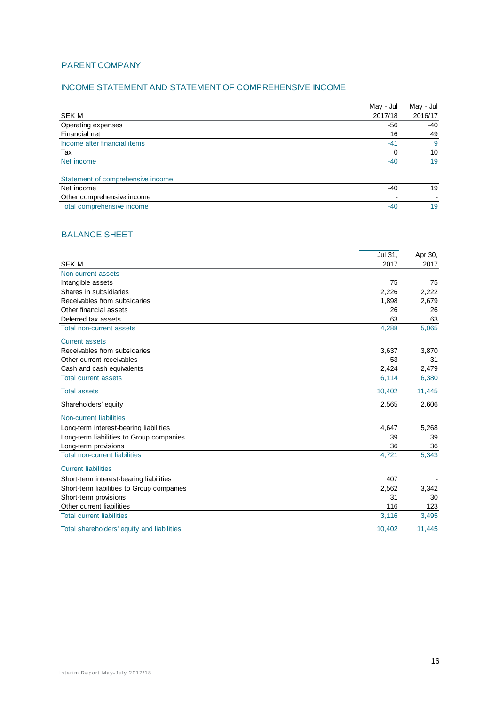#### PARENT COMPANY

#### INCOME STATEMENT AND STATEMENT OF COMPREHENSIVE INCOME

|                                   | May - Jul | May - Jul |
|-----------------------------------|-----------|-----------|
| SEK M                             | 2017/18   | 2016/17   |
| Operating expenses                | $-56$     | $-40$     |
| Financial net                     | 16        | 49        |
| Income after financial items      | $-41$     | -9        |
| Tax                               | 0         | 10        |
| Net income                        | $-40$     | 19        |
| Statement of comprehensive income |           |           |
| Net income                        | $-40$     | 19        |
| Other comprehensive income        |           |           |
| Total comprehensive income        | $-40$     | 19        |

÷.

## BALANCE SHEET

|                                            | Jul 31, | Apr 30, |
|--------------------------------------------|---------|---------|
| <b>SEKM</b>                                | 2017    | 2017    |
| Non-current assets                         |         |         |
| Intangible assets                          | 75      | 75      |
| Shares in subsidiaries                     | 2,226   | 2,222   |
| Receivables from subsidaries               | 1,898   | 2,679   |
| Other financial assets                     | 26      | 26      |
| Deferred tax assets                        | 63      | 63      |
| <b>Total non-current assets</b>            | 4,288   | 5,065   |
| <b>Current assets</b>                      |         |         |
| Receivables from subsidaries               | 3,637   | 3,870   |
| Other current receivables                  | 53      | 31      |
| Cash and cash equivalents                  | 2,424   | 2,479   |
| <b>Total current assets</b>                | 6,114   | 6,380   |
| <b>Total assets</b>                        | 10,402  | 11,445  |
| Shareholders' equity                       | 2,565   | 2,606   |
| Non-current liabilities                    |         |         |
| Long-term interest-bearing liabilities     | 4,647   | 5,268   |
| Long-term liabilities to Group companies   | 39      | 39      |
| Long-term provisions                       | 36      | 36      |
| <b>Total non-current liabilities</b>       | 4,721   | 5,343   |
| <b>Current liabilities</b>                 |         |         |
| Short-term interest-bearing liabilities    | 407     |         |
| Short-term liabilities to Group companies  | 2,562   | 3,342   |
| Short-term provisions                      | 31      | 30      |
| Other current liabilities                  | 116     | 123     |
| <b>Total current liabilities</b>           | 3,116   | 3,495   |
| Total shareholders' equity and liabilities | 10,402  | 11,445  |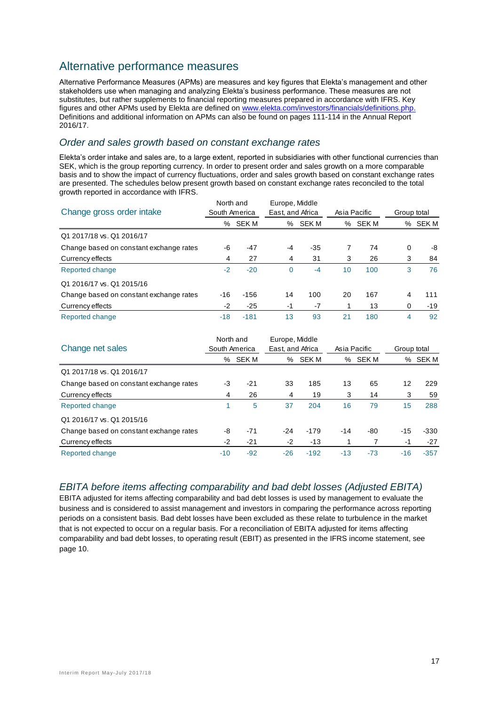# Alternative performance measures

Alternative Performance Measures (APMs) are measures and key figures that Elekta's management and other stakeholders use when managing and analyzing Elekta's business performance. These measures are not substitutes, but rather supplements to financial reporting measures prepared in accordance with IFRS. Key figures and other APMs used by Elekta are defined on [www.elekta.com/investors/financials/definitions.php.](http://www.elekta.com/investors/financials/definitions.php) Definitions and additional information on APMs can also be found on pages 111-114 in the Annual Report 2016/17.

## *Order and sales growth based on constant exchange rates*

Elekta's order intake and sales are, to a large extent, reported in subsidiaries with other functional currencies than SEK, which is the group reporting currency. In order to present order and sales growth on a more comparable basis and to show the impact of currency fluctuations, order and sales growth based on constant exchange rates are presented. The schedules below present growth based on constant exchange rates reconciled to the total growth reported in accordance with IFRS.

| Change gross order intake               |       | North and<br>South America |             | Europe, Middle<br>East, and Africa |    | Asia Pacific |   | Group total |  |
|-----------------------------------------|-------|----------------------------|-------------|------------------------------------|----|--------------|---|-------------|--|
|                                         |       | % SEK M                    | ℅           | SEK M                              |    | % SEK M      |   | % SEK M     |  |
| Q1 2017/18 vs. Q1 2016/17               |       |                            |             |                                    |    |              |   |             |  |
| Change based on constant exchange rates | -6    | -47                        | -4          | $-35$                              |    | 74           | 0 | -8          |  |
| Currency effects                        | 4     | 27                         | 4           | 31                                 | 3  | 26           | 3 | 84          |  |
| Reported change                         | $-2$  | $-20$                      | $\mathbf 0$ | $-4$                               | 10 | 100          | 3 | 76          |  |
| Q1 2016/17 vs. Q1 2015/16               |       |                            |             |                                    |    |              |   |             |  |
| Change based on constant exchange rates | -16   | $-156$                     | 14          | 100                                | 20 | 167          | 4 | 111         |  |
| Currency effects                        | $-2$  | $-25$                      | $-1$        | $-7$                               |    | 13           | 0 | $-19$       |  |
| Reported change                         | $-18$ | $-181$                     | 13          | 93                                 | 21 | 180          | 4 | 92          |  |

| Change net sales                        | North and<br>South America |             | Europe, Middle<br>East, and Africa |              | Asia Pacific |       |                 | Group total |  |
|-----------------------------------------|----------------------------|-------------|------------------------------------|--------------|--------------|-------|-----------------|-------------|--|
|                                         | ℅                          | <b>SEKM</b> | %                                  | <b>SEK M</b> | %            | SEK M | %               | SEK M       |  |
| Q1 2017/18 vs. Q1 2016/17               |                            |             |                                    |              |              |       |                 |             |  |
| Change based on constant exchange rates | -3                         | $-21$       | 33                                 | 185          | 13           | 65    | 12              | 229         |  |
| Currency effects                        | 4                          | 26          | 4                                  | 19           | 3            | 14    | 3               | 59          |  |
| Reported change                         |                            | 5           | 37                                 | 204          | 16           | 79    | 15 <sub>1</sub> | 288         |  |
| Q1 2016/17 vs. Q1 2015/16               |                            |             |                                    |              |              |       |                 |             |  |
| Change based on constant exchange rates | -8                         | $-71$       | $-24$                              | $-179$       | $-14$        | -80   | $-15$           | $-330$      |  |
| Currency effects                        | $-2$                       | $-21$       | $-2$                               | -13          |              |       | $-1$            | $-27$       |  |
| Reported change                         | $-10$                      | $-92$       | $-26$                              | $-192$       | $-13$        | $-73$ | $-16$           | $-357$      |  |

## *EBITA before items affecting comparability and bad debt losses (Adjusted EBITA)*

EBITA adjusted for items affecting comparability and bad debt losses is used by management to evaluate the business and is considered to assist management and investors in comparing the performance across reporting periods on a consistent basis. Bad debt losses have been excluded as these relate to turbulence in the market that is not expected to occur on a regular basis. For a reconciliation of EBITA adjusted for items affecting comparability and bad debt losses, to operating result (EBIT) as presented in the IFRS income statement, see page 10.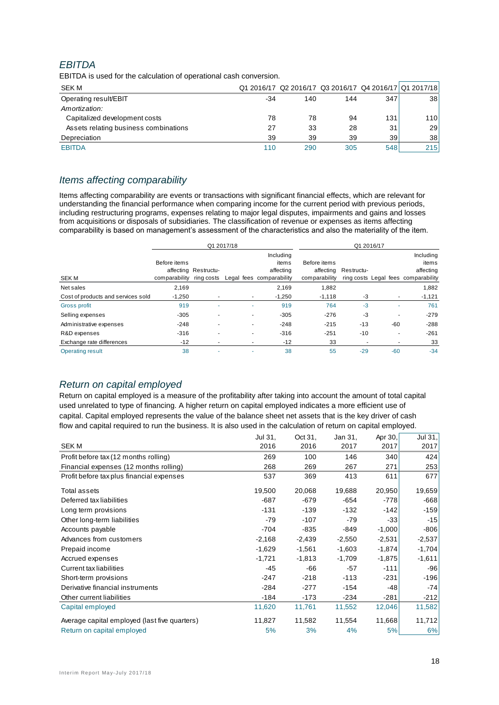## *EBITDA*

| EBHDA                                                              |       |     |     |     |                                                        |
|--------------------------------------------------------------------|-------|-----|-----|-----|--------------------------------------------------------|
| EBITDA is used for the calculation of operational cash conversion. |       |     |     |     |                                                        |
| SEK M                                                              |       |     |     |     | Q1 2016/17 Q2 2016/17 Q3 2016/17 Q4 2016/17 Q1 2017/18 |
| Operating result/EBIT                                              | $-34$ | 140 | 144 | 347 | 38 <sup>1</sup>                                        |
| Amortization:                                                      |       |     |     |     |                                                        |
| Capitalized development costs                                      | 78    | 78  | 94  | 131 | 110                                                    |
| Assets relating business combinations                              | 27    | 33  | 28  | 31  | 29                                                     |
| Depreciation                                                       | 39    | 39  | 39  | 39  | 38                                                     |
| <b>EBITDA</b>                                                      | 110   | 290 | 305 | 548 | 215                                                    |

## *Items affecting comparability*

Items affecting comparability are events or transactions with significant financial effects, which are relevant for understanding the financial performance when comparing income for the current period with previous periods, including restructuring programs, expenses relating to major legal disputes, impairments and gains and losses from acquisitions or disposals of subsidiaries*.* The classification of revenue or expenses as items affecting comparability is based on management's assessment of the characteristics and also the materiality of the item.

|                                    | Q1 2017/18                               |                      |                          |                                                             |                               | Q1 2016/17           |       |                                                                        |
|------------------------------------|------------------------------------------|----------------------|--------------------------|-------------------------------------------------------------|-------------------------------|----------------------|-------|------------------------------------------------------------------------|
| <b>SEKM</b>                        | Before items<br>comparability ring costs | affecting Restructu- |                          | Including<br>items<br>affecting<br>Legal fees comparability | Before items<br>comparability | affecting Restructu- |       | Including<br>items<br>affecting<br>ring costs Legal fees comparability |
| Net sales                          | 2,169                                    |                      |                          | 2,169                                                       | 1,882                         |                      |       | 1,882                                                                  |
| Cost of products and services sold | $-1,250$                                 | ۰                    | ٠                        | $-1,250$                                                    | $-1,118$                      | -3                   |       | $-1,121$                                                               |
| <b>Gross profit</b>                | 919                                      | ٠                    |                          | 919                                                         | 764                           | $-3$                 |       | 761                                                                    |
| Selling expenses                   | $-305$                                   |                      | $\overline{\phantom{a}}$ | $-305$                                                      | $-276$                        | -3                   |       | $-279$                                                                 |
| Administrative expenses            | $-248$                                   | ٠                    | $\overline{\phantom{a}}$ | $-248$                                                      | $-215$                        | $-13$                | $-60$ | $-288$                                                                 |
| R&D expenses                       | $-316$                                   | ٠                    | $\overline{\phantom{a}}$ | $-316$                                                      | $-251$                        | $-10$                |       | $-261$                                                                 |
| Exchange rate differences          | -12                                      | ۰                    |                          | $-12$                                                       | 33                            |                      |       | 33                                                                     |
| <b>Operating result</b>            | 38                                       | ۰                    |                          | 38                                                          | 55                            | $-29$                | $-60$ | $-34$                                                                  |

## *Return on capital employed*

Return on capital employed is a measure of the profitability after taking into account the amount of total capital used unrelated to type of financing. A higher return on capital employed indicates a more efficient use of capital. Capital employed represents the value of the balance sheet net assets that is the key driver of cash flow and capital required to run the business. It is also used in the calculation of return on capital employed.

|                                               | Jul 31,  | Oct 31,  | Jan 31,  | Apr 30,  | Jul 31,  |
|-----------------------------------------------|----------|----------|----------|----------|----------|
| <b>SEKM</b>                                   | 2016     | 2016     | 2017     | 2017     | 2017     |
| Profit before tax (12 months rolling)         | 269      | 100      | 146      | 340      | 424      |
| Financial expenses (12 months rolling)        | 268      | 269      | 267      | 271      | 253      |
| Profit before tax plus financial expenses     | 537      | 369      | 413      | 611      | 677      |
| Total assets                                  | 19,500   | 20,068   | 19,688   | 20,950   | 19,659   |
| Deferred tax liabilities                      | $-687$   | $-679$   | -654     | -778     | -668     |
| Long term provisions                          | $-131$   | $-139$   | $-132$   | $-142$   | $-159$   |
| Other long-term liabilities                   | $-79$    | $-107$   | $-79$    | $-33$    | $-15$    |
| Accounts payable                              | $-704$   | $-835$   | -849     | $-1,000$ | $-806$   |
| Advances from customers                       | $-2,168$ | $-2,439$ | $-2,550$ | $-2,531$ | $-2,537$ |
| Prepaid income                                | $-1,629$ | $-1,561$ | $-1,603$ | $-1,874$ | $-1,704$ |
| Accrued expenses                              | $-1,721$ | $-1,813$ | $-1,709$ | $-1,875$ | $-1,611$ |
| <b>Current tax liabilities</b>                | $-45$    | $-66$    | $-57$    | $-111$   | $-96$    |
| Short-term provisions                         | $-247$   | $-218$   | $-113$   | $-231$   | -196     |
| Derivative financial instruments              | $-284$   | $-277$   | $-154$   | -48      | $-74$    |
| Other current liabilities                     | $-184$   | -173     | $-234$   | $-281$   | $-212$   |
| Capital employed                              | 11,620   | 11,761   | 11,552   | 12,046   | 11,582   |
| Average capital employed (last five quarters) | 11,827   | 11,582   | 11,554   | 11,668   | 11,712   |
| Return on capital employed                    | 5%       | 3%       | 4%       | 5%       | 6%       |
|                                               |          |          |          |          |          |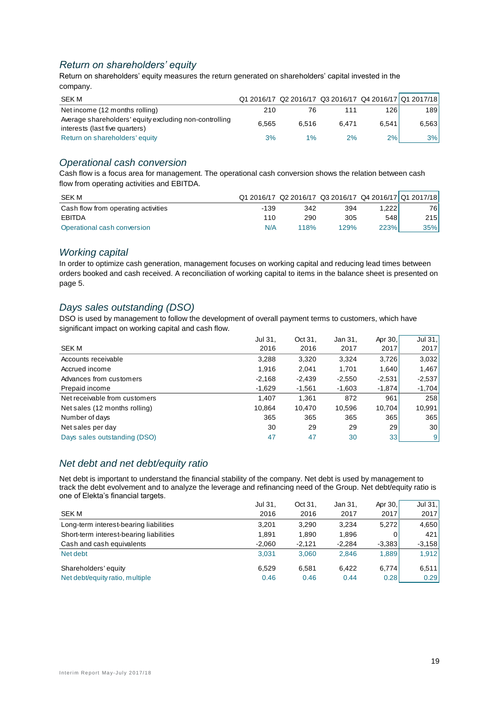## *Return on shareholders' equity*

Return on shareholders' equity measures the return generated on shareholders' capital invested in the company.

| SEK M                                                                                    |       |       |       |       | Q1 2016/17 Q2 2016/17 Q3 2016/17 Q4 2016/17 Q1 2017/18 |
|------------------------------------------------------------------------------------------|-------|-------|-------|-------|--------------------------------------------------------|
| Net income (12 months rolling)                                                           | 210   | 76    | 111   | 126   | 189 l                                                  |
| Average shareholders' equity excluding non-controlling<br>interests (last five quarters) | 6.565 | 6.516 | 6.471 | 6.541 | 6,563                                                  |
| Return on shareholders' equity                                                           | 3%    | $1\%$ | 2%    | 2%    | 3%                                                     |

#### *Operational cash conversion*

Cash flow is a focus area for management. The operational cash conversion shows the relation between cash flow from operating activities and EBITDA.

| SEK M                               |        |      | Q1 2016/17 Q2 2016/17 Q3 2016/17 Q4 2016/17 Q1 2017/18 |       |       |
|-------------------------------------|--------|------|--------------------------------------------------------|-------|-------|
| Cash flow from operating activities | $-139$ | 342  | 394                                                    | .222  | 76 I  |
| EBITDA                              | 110    | 290  | 305                                                    | 548   | 215 I |
| Operational cash conversion         | N/A    | 118% | 129%                                                   | 223%1 | 35%   |

#### *Working capital*

In order to optimize cash generation, management focuses on working capital and reducing lead times between orders booked and cash received. A reconciliation of working capital to items in the balance sheet is presented on page 5.

## *Days sales outstanding (DSO)*

DSO is used by management to follow the development of overall payment terms to customers, which have significant impact on working capital and cash flow.

|                               | Jul 31,  | Oct 31,  | Jan 31,  | Apr 30,         | Jul 31,  |
|-------------------------------|----------|----------|----------|-----------------|----------|
| <b>SEKM</b>                   | 2016     | 2016     | 2017     | 2017            | 2017     |
| Accounts receivable           | 3,288    | 3,320    | 3,324    | 3,726           | 3,032    |
| Accrued income                | 1,916    | 2,041    | 1.701    | 1,640           | 1,467    |
| Advances from customers       | $-2,168$ | $-2,439$ | $-2,550$ | $-2,531$        | $-2,537$ |
| Prepaid income                | $-1,629$ | $-1,561$ | $-1,603$ | $-1,874$        | $-1,704$ |
| Net receivable from customers | 1.407    | 1.361    | 872      | 961             | 258      |
| Net sales (12 months rolling) | 10,864   | 10,470   | 10,596   | 10,704          | 10,991   |
| Number of days                | 365      | 365      | 365      | 365             | 365      |
| Net sales per day             | 30       | 29       | 29       | 29              | 30       |
| Days sales outstanding (DSO)  | 47       | 47       | 30       | 33 <sub>1</sub> | 9        |
|                               |          |          |          |                 |          |

## *Net debt and net debt/equity ratio*

Net debt is important to understand the financial stability of the company. Net debt is used by management to track the debt evolvement and to analyze the leverage and refinancing need of the Group. Net debt/equity ratio is one of Elekta's financial targets.

|                                         | Jul 31.  | Oct 31.  | Jan 31,  | Apr 30,  | Jul $31.$ |
|-----------------------------------------|----------|----------|----------|----------|-----------|
| <b>SEK M</b>                            | 2016     | 2016     | 2017     | 2017     | 2017      |
| Long-term interest-bearing liabilities  | 3.201    | 3.290    | 3.234    | 5,272    | 4,650     |
| Short-term interest-bearing liabilities | 1.891    | 1.890    | 1,896    | 0        | 421       |
| Cash and cash equivalents               | $-2.060$ | $-2.121$ | $-2.284$ | $-3,383$ | $-3,158$  |
| Net debt                                | 3.031    | 3.060    | 2.846    | 1,889    | 1,912     |
| Shareholders' equity                    | 6.529    | 6.581    | 6.422    | 6,774    | 6,511     |
| Net debt/equity ratio, multiple         | 0.46     | 0.46     | 0.44     | 0.281    | 0.29      |